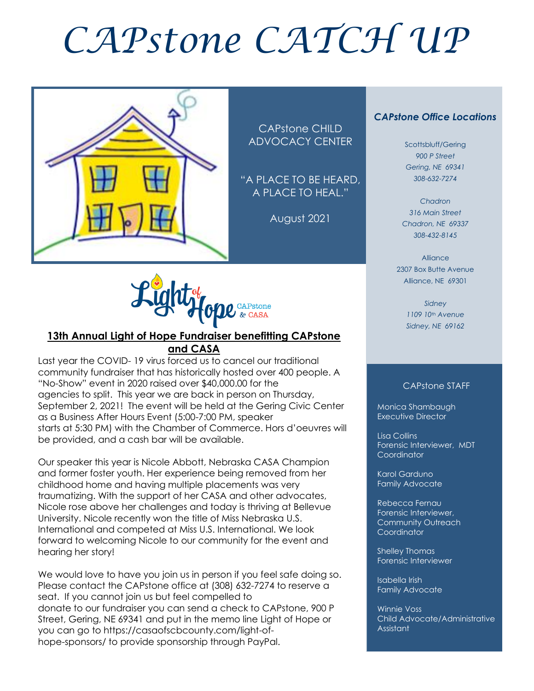# *CAPstone CATCH UP*



CAPstone CHILD ADVOCACY CENTER

"A PLACE TO BE HEARD, A PLACE TO HEAL."

August 2021



#### **13th Annual Light of Hope Fundraiser benefitting CAPstone and CASA**

Last year the COVID- 19 virus forced us to cancel our traditional community fundraiser that has historically hosted over 400 people. A "No-Show" event in 2020 raised over \$40,000.00 for the agencies to split. This year we are back in person on Thursday, September 2, 2021! The event will be held at the Gering Civic Center as a Business After Hours Event (5:00-7:00 PM, speaker starts at 5:30 PM) with the Chamber of Commerce. Hors d'oeuvres will be provided, and a cash bar will be available.

Our speaker this year is Nicole Abbott, Nebraska CASA Champion and former foster youth. Her experience being removed from her childhood home and having multiple placements was very traumatizing. With the support of her CASA and other advocates, Nicole rose above her challenges and today is thriving at Bellevue University. Nicole recently won the title of Miss Nebraska U.S. International and competed at Miss U.S. International. We look forward to welcoming Nicole to our community for the event and hearing her story!

We would love to have you join us in person if you feel safe doing so. Please contact the CAPstone office at (308) 632-7274 to reserve a seat. If you cannot join us but feel compelled to donate to our fundraiser you can send a check to CAPstone, 900 P Street, Gering, NE 69341 and put in the memo line Light of Hope or you can go to https://casaofscbcounty.com/light-ofhope-sponsors/ to provide sponsorship through PayPal.

#### *CAPstone Office Locations*

Scottsbluff/Gering *900 P Street Gering, NE 69341 308-632-7274*

*Chadron 316 Main Street Chadron, NE 69337 308-432-8145*

Alliance 2307 Box Butte Avenue Alliance, NE 69301

> *Sidney 1109 10th Avenue Sidney, NE 69162*

#### CAPstone STAFF

Monica Shambaugh Executive Director

I

Lisa Collins Forensic Interviewer, MDT **Coordinator** 

Karol Garduno Family Advocate

Rebecca Fernau Forensic Interviewer, Community Outreach Coordinator

Shelley Thomas Forensic Interviewer

Isabella Irish Family Advocate

Winnie Voss Child Advocate/Administrative Assistant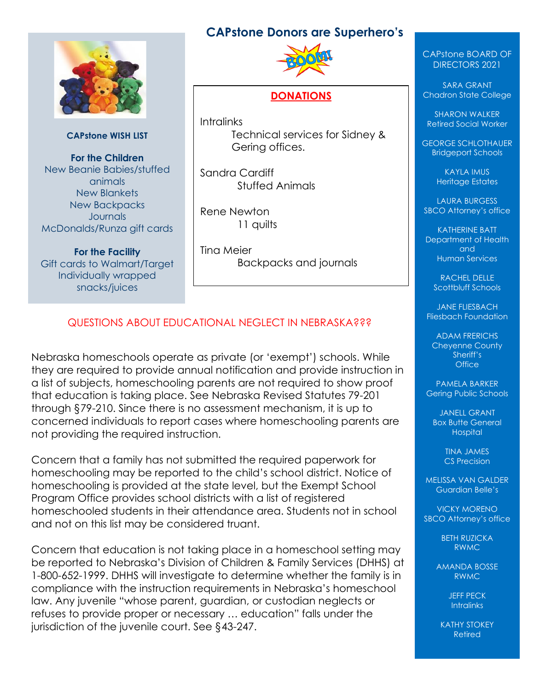# **CAPstone Donors are Superhero's**



**CAPstone WISH LIST**

**For the Children** New Beanie Babies/stuffed animals New Blankets New Backpacks **Journals** McDonalds/Runza gift cards

**For the Facility** Gift cards to Walmart/Target Individually wrapped snacks/juices



#### **DONATIONS**

**Intralinks** Technical services for Sidney & Gering offices.

Sandra Cardiff Stuffed Animals

Rene Newton 11 quilts

Tina Meier Backpacks and journals

# QUESTIONS ABOUT EDUCATIONAL NEGLECT IN NEBRASKA???

Nebraska homeschools operate as private (or 'exempt') schools. While they are required to provide annual notification and provide instruction in a list of subjects, homeschooling parents are not required to show proof that education is taking place. See Nebraska Revised Statutes 79-201 through §79-210. Since there is no assessment mechanism, it is up to concerned individuals to report cases where homeschooling parents are not providing the required instruction.

Concern that a family has not submitted the required paperwork for homeschooling may be reported to the child's school district. Notice of homeschooling is provided at the state level, but the Exempt School Program Office provides school districts with a list of registered homeschooled students in their attendance area. Students not in school and not on this list may be considered truant.

Concern that education is not taking place in a homeschool setting may be reported to Nebraska's Division of Children & Family Services (DHHS) at 1-800-652-1999. DHHS will investigate to determine whether the family is in compliance with the instruction requirements in Nebraska's homeschool law. Any juvenile "whose parent, guardian, or custodian neglects or refuses to provide proper or necessary … education" falls under the jurisdiction of the juvenile court. See §43-247.

#### CAPstone BOARD OF DIRECTORS 2021

SARA GRANT Chadron State College

SHARON WALKER Retired Social Worker

GEORGE SCHLOTHAUER Bridgeport Schools

> KAYLA IMUS Heritage Estates

LAURA BURGESS SBCO Attorney's office

KATHERINE BATT Department of Health and Human Services

> RACHEL DELLE Scottbluff Schools

JANE FLIESBACH Fliesbach Foundation

ADAM FRERICHS Cheyenne County Sheriff's **Office** 

PAMELA BARKER Gering Public Schools

JANELL GRANT Box Butte General **Hospital** 

> TINA JAMES CS Precision

MELISSA VAN GALDER Guardian Belle's

VICKY MORENO SBCO Attorney's office

> BETH RUZICKA RWMC

AMANDA BOSSE RWMC

> JEFF PECK **Intralinks**

KATHY STOKEY Retired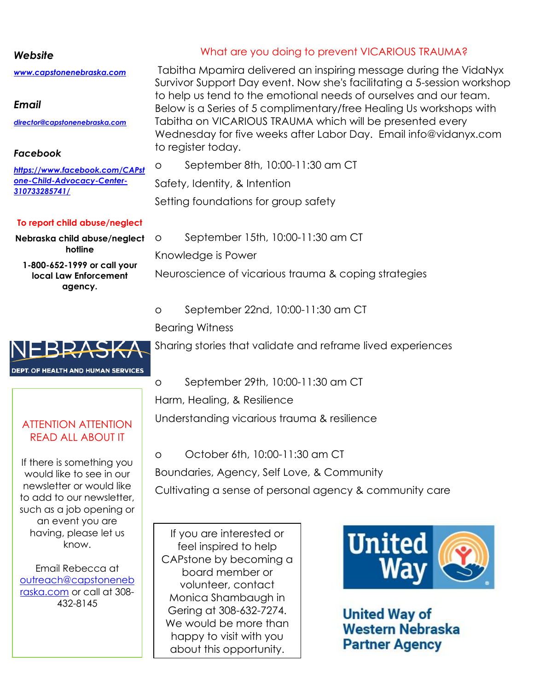#### *Website*

*[www.capstonenebraska.com](http://www.capstonenebraska.com/)*

#### *Email*

*[director@capstonenebraska.com](mailto:director@capstonenebraska.com)*

## *Facebook*

*[https://www.facebook.com/CAPst](https://www.facebook.com/CAPstone-Child-Advocacy-Center-310733285741/) [one-Child-Advocacy-Center-](https://www.facebook.com/CAPstone-Child-Advocacy-Center-310733285741/)[310733285741/](https://www.facebook.com/CAPstone-Child-Advocacy-Center-310733285741/)*

#### **To report child abuse/neglect**

**Nebraska child abuse/neglect hotline**

**1-800-652-1999 or call your local Law Enforcement agency.**

# What are you doing to prevent VICARIOUS TRAUMA?

Tabitha Mpamira delivered an inspiring message during the VidaNyx Survivor Support Day event. Now she's facilitating a 5-session workshop to help us tend to the emotional needs of ourselves and our team. Below is a Series of 5 complimentary/free Healing Us workshops with Tabitha on VICARIOUS TRAUMA which will be presented every Wednesday for five weeks after Labor Day. Email info@vidanyx.com to register today.

o September 8th, 10:00-11:30 am CT

Safety, Identity, & Intention

Setting foundations for group safety

o September 15th, 10:00-11:30 am CT

Knowledge is Power

Neuroscience of vicarious trauma & coping strategies

o September 22nd, 10:00-11:30 am CT

# Bearing Witness

ֺ֖֚֝֬

Sharing stories that validate and reframe lived experiences



o September 29th, 10:00-11:30 am CT

Harm, Healing, & Resilience

Understanding vicarious trauma & resilience

o October 6th, 10:00-11:30 am CT

Boundaries, Agency, Self Love, & Community

Cultivating a sense of personal agency & community care

If you are interested or feel inspired to help CAPstone by becoming a board member or volunteer, contact Monica Shambaugh in Gering at 308-632-7274. We would be more than happy to visit with you about this opportunity.



**United Way of Western Nebraska Partner Agency** 

# ATTENTION ATTENTION READ ALL ABOUT IT

If there is something you would like to see in our newsletter or would like to add to our newsletter, such as a job opening or an event you are having, please let us know.

Email Rebecca at [outreach@capstoneneb](mailto:outreach@capstonenebraska.com) [raska.com](mailto:outreach@capstonenebraska.com) or call at 308- 432-8145

Page 2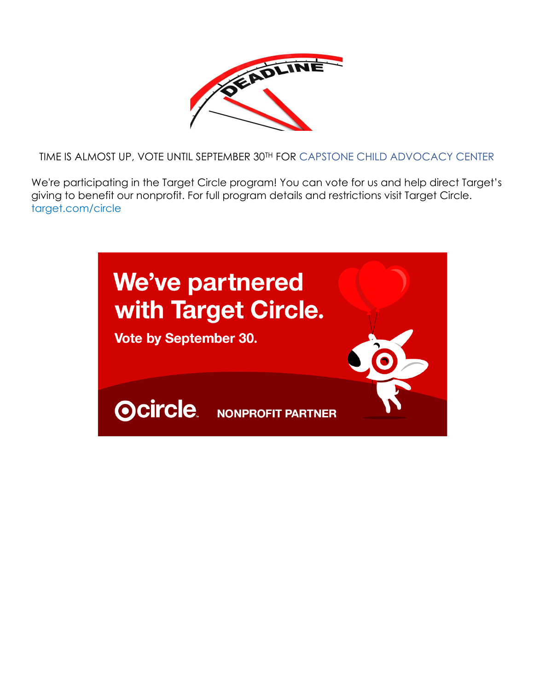

TIME IS ALMOST UP, VOTE UNTIL SEPTEMBER 30TH [FOR](https://creativecommons.org/licenses/by-nc/3.0/) CAPSTONE CHILD ADVOCACY CENTER

We're participating in the Target Circle program! You can vote for us and help direct Target's giving to benefit our nonprofit. For full program details and restrictions visit Target Circle. target.com/circle

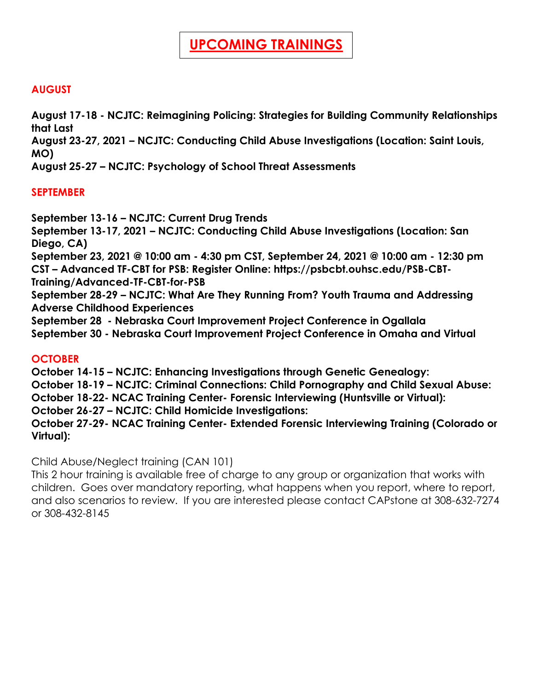# **AUGUST**

**August 17-18 - NCJTC: Reimagining Policing: Strategies for Building Community Relationships that Last**

**August 23-27, 2021 – NCJTC: Conducting Child Abuse Investigations (Location: Saint Louis, MO)**

**August 25-27 – NCJTC: Psychology of School Threat Assessments**

# **SEPTEMBER**

**September 13-16 – NCJTC: Current Drug Trends**

**September 13-17, 2021 – NCJTC: Conducting Child Abuse Investigations (Location: San Diego, CA)**

**September 23, 2021 @ 10:00 am - 4:30 pm CST, September 24, 2021 @ 10:00 am - 12:30 pm CST – Advanced TF-CBT for PSB: Register Online: https://psbcbt.ouhsc.edu/PSB-CBT-Training/Advanced-TF-CBT-for-PSB**

**September 28-29 – NCJTC: What Are They Running From? Youth Trauma and Addressing Adverse Childhood Experiences**

**September 28 - Nebraska Court Improvement Project Conference in Ogallala September 30 - Nebraska Court Improvement Project Conference in Omaha and Virtual**

### **OCTOBER**

**October 14-15 – NCJTC: Enhancing Investigations through Genetic Genealogy: October 18-19 – NCJTC: Criminal Connections: Child Pornography and Child Sexual Abuse:** 

**October 18-22- NCAC Training Center- Forensic Interviewing (Huntsville or Virtual):** 

**October 26-27 – NCJTC: Child Homicide Investigations:** 

**October 27-29- NCAC Training Center- Extended Forensic Interviewing Training (Colorado or Virtual):** 

Child Abuse/Neglect training (CAN 101)

This 2 hour training is available free of charge to any group or organization that works with children. Goes over mandatory reporting, what happens when you report, where to report, and also scenarios to review. If you are interested please contact CAPstone at 308-632-7274 or 308-432-8145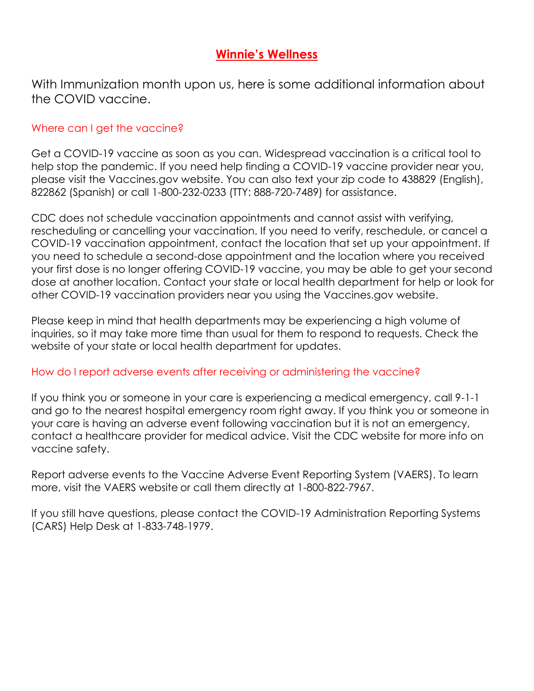# **Winnie's Wellness**

With Immunization month upon us, here is some additional information about the COVID vaccine.

# Where can I get the vaccine?

Get a COVID-19 vaccine as soon as you can. Widespread vaccination is a critical tool to help stop the pandemic. If you need help finding a COVID-19 vaccine provider near you, please visit the Vaccines.gov website. You can also text your zip code to 438829 (English), 822862 (Spanish) or call 1-800-232-0233 (TTY: 888-720-7489) for assistance.

CDC does not schedule vaccination appointments and cannot assist with verifying, rescheduling or cancelling your vaccination. If you need to verify, reschedule, or cancel a COVID-19 vaccination appointment, contact the location that set up your appointment. If you need to schedule a second-dose appointment and the location where you received your first dose is no longer offering COVID-19 vaccine, you may be able to get your second dose at another location. Contact your state or local health department for help or look for other COVID-19 vaccination providers near you using the Vaccines.gov website.

Please keep in mind that health departments may be experiencing a high volume of inquiries, so it may take more time than usual for them to respond to requests. Check the website of your state or local health department for updates.

### How do I report adverse events after receiving or administering the vaccine?

If you think you or someone in your care is experiencing a medical emergency, call 9-1-1 and go to the nearest hospital emergency room right away. If you think you or someone in your care is having an adverse event following vaccination but it is not an emergency, contact a healthcare provider for medical advice. Visit the CDC website for more info on vaccine safety.

Report adverse events to the Vaccine Adverse Event Reporting System (VAERS). To learn more, visit the VAERS website or call them directly at 1-800-822-7967.

If you still have questions, please contact the COVID-19 Administration Reporting Systems (CARS) Help Desk at 1-833-748-1979.